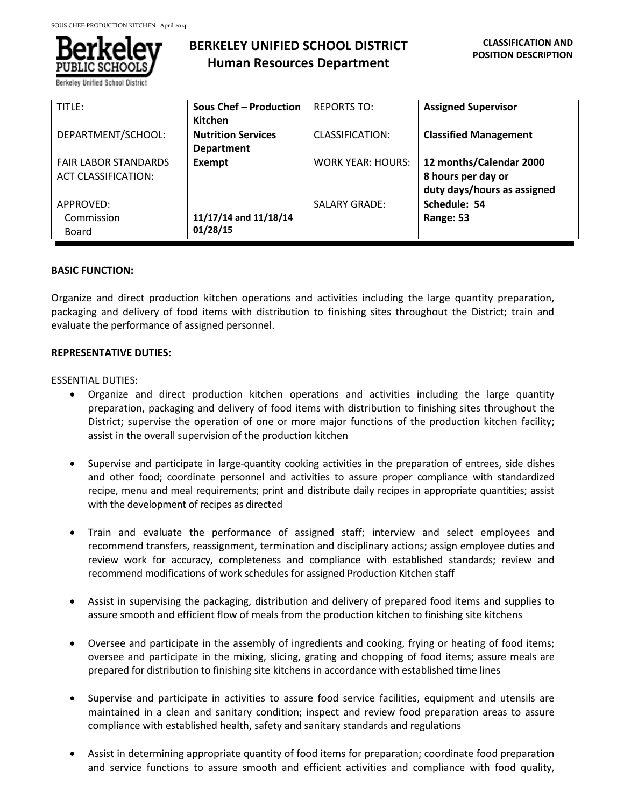

Berkeley Unified School Distric

# **BERKELEY UNIFIED SCHOOL DISTRICT Human Resources Department**

| TITLE:                      | Sous Chef - Production    | <b>REPORTS TO:</b>       | <b>Assigned Supervisor</b>   |
|-----------------------------|---------------------------|--------------------------|------------------------------|
|                             | <b>Kitchen</b>            |                          |                              |
| DEPARTMENT/SCHOOL:          | <b>Nutrition Services</b> | CLASSIFICATION:          | <b>Classified Management</b> |
|                             | <b>Department</b>         |                          |                              |
| <b>FAIR LABOR STANDARDS</b> | Exempt                    | <b>WORK YEAR: HOURS:</b> | 12 months/Calendar 2000      |
| <b>ACT CLASSIFICATION:</b>  |                           |                          | 8 hours per day or           |
|                             |                           |                          | duty days/hours as assigned  |
| APPROVED:                   |                           | <b>SALARY GRADE:</b>     | Schedule: 54                 |
| Commission                  | 11/17/14 and 11/18/14     |                          | Range: 53                    |
| Board                       | 01/28/15                  |                          |                              |

### **BASIC FUNCTION:**

Organize and direct production kitchen operations and activities including the large quantity preparation, packaging and delivery of food items with distribution to finishing sites throughout the District; train and evaluate the performance of assigned personnel.

### **REPRESENTATIVE DUTIES:**

### ESSENTIAL DUTIES:

- Organize and direct production kitchen operations and activities including the large quantity preparation, packaging and delivery of food items with distribution to finishing sites throughout the District; supervise the operation of one or more major functions of the production kitchen facility; assist in the overall supervision of the production kitchen
- Supervise and participate in large-quantity cooking activities in the preparation of entrees, side dishes and other food; coordinate personnel and activities to assure proper compliance with standardized recipe, menu and meal requirements; print and distribute daily recipes in appropriate quantities; assist with the development of recipes as directed
- Train and evaluate the performance of assigned staff; interview and select employees and recommend transfers, reassignment, termination and disciplinary actions; assign employee duties and review work for accuracy, completeness and compliance with established standards; review and recommend modifications of work schedules for assigned Production Kitchen staff
- Assist in supervising the packaging, distribution and delivery of prepared food items and supplies to assure smooth and efficient flow of meals from the production kitchen to finishing site kitchens
- Oversee and participate in the assembly of ingredients and cooking, frying or heating of food items; oversee and participate in the mixing, slicing, grating and chopping of food items; assure meals are prepared for distribution to finishing site kitchens in accordance with established time lines
- Supervise and participate in activities to assure food service facilities, equipment and utensils are maintained in a clean and sanitary condition; inspect and review food preparation areas to assure compliance with established health, safety and sanitary standards and regulations
- Assist in determining appropriate quantity of food items for preparation; coordinate food preparation and service functions to assure smooth and efficient activities and compliance with food quality,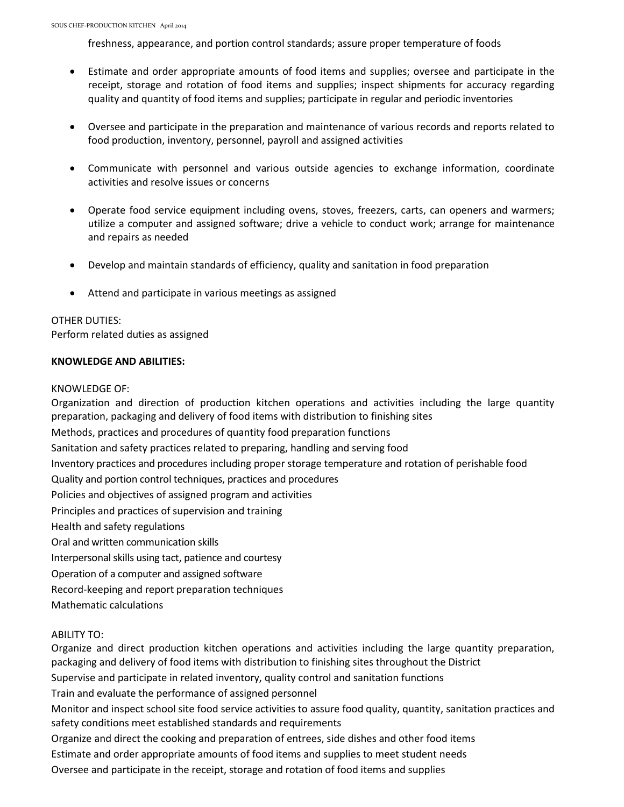freshness, appearance, and portion control standards; assure proper temperature of foods

- Estimate and order appropriate amounts of food items and supplies; oversee and participate in the receipt, storage and rotation of food items and supplies; inspect shipments for accuracy regarding quality and quantity of food items and supplies; participate in regular and periodic inventories
- Oversee and participate in the preparation and maintenance of various records and reports related to food production, inventory, personnel, payroll and assigned activities
- Communicate with personnel and various outside agencies to exchange information, coordinate activities and resolve issues or concerns
- Operate food service equipment including ovens, stoves, freezers, carts, can openers and warmers; utilize a computer and assigned software; drive a vehicle to conduct work; arrange for maintenance and repairs as needed
- Develop and maintain standards of efficiency, quality and sanitation in food preparation
- Attend and participate in various meetings as assigned

## OTHER DUTIES:

Perform related duties as assigned

## **KNOWLEDGE AND ABILITIES:**

### KNOWLEDGE OF:

Organization and direction of production kitchen operations and activities including the large quantity preparation, packaging and delivery of food items with distribution to finishing sites Methods, practices and procedures of quantity food preparation functions Sanitation and safety practices related to preparing, handling and serving food Inventory practices and procedures including proper storage temperature and rotation of perishable food Quality and portion control techniques, practices and procedures Policies and objectives of assigned program and activities Principles and practices of supervision and training Health and safety regulations Oral and written communication skills Interpersonal skills using tact, patience and courtesy Operation of a computer and assigned software Record-keeping and report preparation techniques Mathematic calculations

## ABILITY TO:

Organize and direct production kitchen operations and activities including the large quantity preparation, packaging and delivery of food items with distribution to finishing sites throughout the District Supervise and participate in related inventory, quality control and sanitation functions Train and evaluate the performance of assigned personnel Monitor and inspect school site food service activities to assure food quality, quantity, sanitation practices and safety conditions meet established standards and requirements Organize and direct the cooking and preparation of entrees, side dishes and other food items Estimate and order appropriate amounts of food items and supplies to meet student needs Oversee and participate in the receipt, storage and rotation of food items and supplies